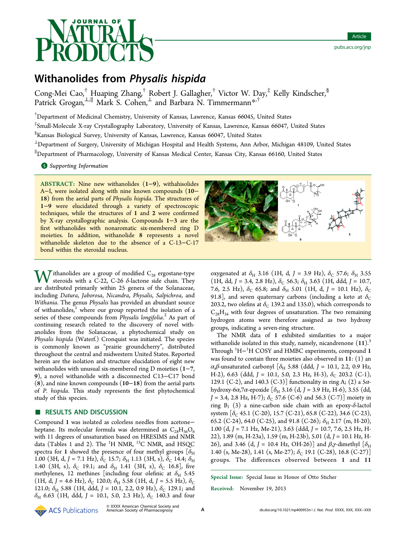

# Withanolides from Physalis hispida

Cong-Mei Cao,† Huaping Zhang,† Robert J. Gallagher,† Victor W. Day,‡ Kelly Kindscher,§ Patrick Grogan,<sup>⊥,∥</sup> Mark S. Cohen,<sup>⊥</sup> and Barbara N. Timmermann<sup>[\\*](#page-7-0),†</sup>

† Department of Medicinal Chemistry, University of Kansas, Lawrence, Kansas 66045, United States

‡ Small-Molecule X-ray Crystallography Laboratory, University of Kansas, Lawrence, Kansas 66047, United States

§ Kansas Biological Survey, University of Kansas, Lawrence, Kansas 66047, United States

<sup>⊥</sup>Department of Surgery, University of Michigan Hospital and Health Systems, Ann Arbor, Michigan 48109, United States ∥ Department of Pharmacology, University of Kansas Medical Center, Kansas City, Kansas 66160, United States

**S** [Supporting Information](#page-7-0)

ABSTRACT: Nine new withanolides (1−9), withahisolides A−I, were isolated along with nine known compounds (10− 18) from the aerial parts of Physalis hispida. The structures of 1−9 were elucidated through a variety of spectroscopic techniques, while the structures of 1 and 2 were confirmed by X-ray crystallographic analysis. Compounds 1−3 are the first withanolides with nonaromatic six-membered ring D moieties. In addition, withanolide 8 represents a novel withanolide skeleton due to the absence of a C-13−C-17 bond within the steroidal nucleus.

**Tithanolides are a group of modified**  $C_{28}$  **ergostane-type** steroids with a C-22, C-26  $\delta$ -lactone side chain. They are distributed primarily within 25 genera of the Solanaceae, including Datura, Jaborosa, Nicandra, Physalis, Salpichroa, and Withania. The genus Physalis has provided an abundant source of withanolides,<sup>1</sup> where our group reported the isolation of a series of these [co](#page-8-0)mpounds from *Physalis longifolia*.<sup>2</sup> As part of continuing research related to the discovery of [n](#page-8-0)ovel withanolides from the Solanaceae, a phytochemical study on Physalis hispida (Waterf.) Cronquist was initiated. The species is commonly known as "prairie groundcherry", distributed throughout the central and midwestern United States. Reported herein are the isolation and structure elucidation of eight new withanolides with unusual six-membered ring D moieties (1−7, 9), a novel withanolide with a disconnected C13−C17 bond (8), and nine known compounds (10−18) from the aerial parts of P. hispida. This study represents the first phytochemical study of this species.

# ■ RESULTS AND DISCUSSION

Compound 1 was isolated as colorless needles from acetone− heptane. Its molecular formula was determined as  $C_{28}H_{36}O_6$ with 11 degrees of unsaturation based on HRESIMS and NMR data (Tables 1 and 2). The <sup>1</sup>H NMR, <sup>13</sup>C NMR, and HSQC spectra for 1 [sh](#page-1-0)owe[d](#page-2-0) the presence of four methyl groups  $[\delta_{\rm H}]$ 1.00 (3H, d, J = 7.1 Hz),  $\delta_{\rm C}$  15.7;  $\delta_{\rm H}$  1.13 (3H, s),  $\delta_{\rm C}$  14.4;  $\delta_{\rm H}$ 1.40 (3H, s),  $\delta_c$  19.1; and  $\delta_H$  1.41 (3H, s),  $\delta_c$  16.8], five methylenes, 12 methines [including four olefinic at  $\delta_{\rm H}$  5.45 (1H, d, J = 4.6 Hz),  $\delta_C$  120.0;  $\delta_H$  5.58 (1H, d, J = 5.5 Hz),  $\delta_C$ 121.0;  $\delta_{\rm H}$  5.88 (1H, ddd, J = 10.1, 2.2, 0.9 Hz),  $\delta_{\rm C}$  129.1; and  $\delta_{\text{H}}$  6.63 (1H, ddd, J = 10.1, 5.0, 2.3 Hz),  $\delta_{\text{C}}$  140.3 and four



oxygenated at  $\delta_{\rm H}$  3.16 (1H, d, J = 3.9 Hz),  $\delta_{\rm C}$  57.6;  $\delta_{\rm H}$  3.55 (1H, dd, J = 3.4, 2.8 Hz),  $\delta_C$  56.3;  $\delta_H$  3.63 (1H, ddd, J = 10.7, 7.6, 2.5 Hz),  $\delta_C$  65.8; and  $\delta_H$  5.01 (1H, d, J = 10.1 Hz),  $\delta_C$ 91.8], and seven quaternary carbons (including a keto at  $\delta_{\rm C}$ 203.2, two olefins at  $\delta_c$  139.2 and 135.0), which corresponds to  $C_{28}H_{34}$  with four degrees of unsaturation. The two remaining hydrogen atoms were therefore assigned as two hydroxy groups, indicating a seven-ring structure.

The NMR data of 1 exhibited similarities to a major withanolide isolated in this study, namely, nicandrenone  $(11).<sup>3</sup>$ Through  $\rm ^1H-^{1}H$  $\rm ^1H-^{1}H$  $\rm ^1H-^{1}H$  COSY and HMBC experiments, compound 1 was found to contain three moieties also observed in 11: (1) an α,β-unsaturated carbonyl [ $δ$ <sub>H</sub> 5.88 (ddd, J = 10.1, 2.2, 0.9 Hz, H-2), 6.63 (ddd, J = 10.1, 5.0, 2.3 Hz, H-3),  $\delta_C$  203.2 (C-1), 129.1 (C-2), and 140.3 (C-3)] functionality in ring A; (2) a  $5\alpha$ hydroxy-6α,7α-epoxide  $[\delta_H 3.16$  (d, J = 3.9 Hz, H-6), 3.55 (dd,  $J = 3.4, 2.8$  Hz, H-7);  $\delta_C$  57.6 (C-6) and 56.3 (C-7)] moiety in ring B; (3) a nine-carbon side chain with an epoxy- $\delta$ -lactol system  $[\delta_C 45.1 \,(C-20), 15.7 \,(C-21), 65.8 \,(C-22), 34.6 \,(C-23),$ 65.2 (C-24), 64.0 (C-25), and 91.8 (C-26);  $\delta_{\rm H}$  2.17 (m, H-20), 1.00 (d, J = 7.1 Hz, Me-21), 3.63 (ddd, J = 10.7, 7.6, 2.5 Hz, H-22), 1.89 (m, H-23a), 1.59 (m, H-23b), 5.01 (d, J = 10.1 Hz, H-26), and 3.46 (d, J = 10.4 Hz, OH-26)] and  $\beta$ , $\gamma$ -dimethyl  $[\delta_{\rm H}]$ 1.40 (s, Me-28), 1.41 (s, Me-27);  $\delta$ <sub>C</sub> 19.1 (C-28), 16.8 (C-27)] groups. The differences observed between 1 and 11

Special Issue: Special Issue in Honor of Otto Sticher

Received: November 19, 2013

ACS Publications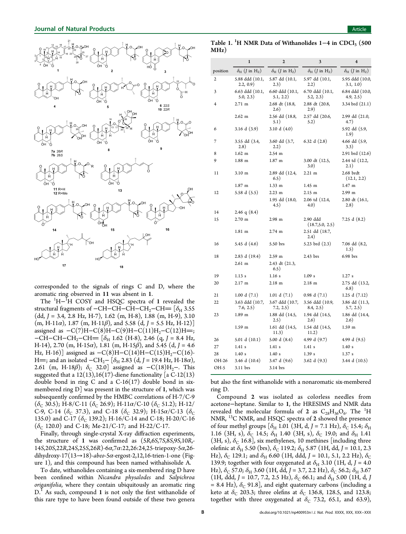<span id="page-1-0"></span>

corresponded to the signals of rings C and D, where the aromatic ring observed in 11 was absent in 1.

The <sup>1</sup>H−<sup>I</sup>H COSY and HSQC spectra of 1 revealed the structural fragments of  $-CH-CH-CH-CH<sub>2</sub>-CH = [\delta_{H} 3.55$  $(dd, J = 3.4, 2.8$  Hz, H-7), 1.62 (m, H-8), 1.88 (m, H-9), 3.10  $(m, H-11\alpha)$ , 1.87  $(m, H-11\beta)$ , and 5.58  $(d, J = 5.5 \text{ Hz}, H-12)$ assigned as  $-C(7)H-C(8)H-C(9)H-C(11)H<sub>2</sub>-C(12)H=$ ; −CH−CH−CH<sub>2</sub>−CH = [ $\delta$ <sub>H</sub> 1.62 (H-8), 2.46 (q, J = 8.4 Hz, H-14), 2.70 (m, H-15 $\alpha$ ), 1.81 (m, H-15 $\beta$ ), and 5.45 (d, J = 4.6 Hz, H-16)] assigned as  $-C(8)H-C(14)H-C(15)H_2-C(16)$ -H=; and an isolated −CH<sub>2</sub>− [δ<sub>H</sub> 2.83 (d, J = 19.4 Hz, H-18α), 2.61 (m, H-18 $\beta$ );  $\delta_c$  32.0] assigned as  $-C(18)H_2$ –. This suggested that a  $12(13)$ , 16(17)-diene functionality [a C-12(13) double bond in ring C and a  $C-16(17)$  double bond in sixmembered ring  $D$ ] was present in the structure of 1, which was subsequently confirmed by the HMBC correlations of H-7/C-9  $(\delta_C 30.5)$ ; H-8/C-11  $(\delta_C 26.9)$ ; H-11a/C-10  $(\delta_C 51.2)$ ; H-12/ C-9, C-14 ( $\delta_c$  37.3), and C-18 ( $\delta_c$  32.9); H-15 $\alpha$ /C-13 ( $\delta_c$ 135.0) and C-17 ( $\delta$ <sub>C</sub> 139.2); H-16/C-14 and C-18; H-20/C-16  $(\delta_C 120.0)$  and C-18; Me-21/C-17; and H-22/C-17.

Finally, through single-crystal X-ray diffraction experiments, the structure of 1 was confirmed as (5R,6S,7S,8S,9S,10R,- 14S,20S,22R,24S,25S,26R)-6α,7α:22,26:24,25-triepoxy-5α,26 dihydroxy-17(13→18)-abeo-5 $\alpha$ -ergost-2,12,16-trien-1-one (Figure 1), and this compound has been named withahisolide A.

T[o](#page-3-0) date, withanolides containing a six-membered ring D have been confined within Nicandra physalodes and Salpichroa origanifolia, where they contain ubiquitously an aromatic ring  $D<sup>1</sup>$  As such, compound 1 is not only the first withanolide of th[is](#page-8-0) rare type to have been found outside of these two genera

Table 1.  $^{1}$ H NMR Data of Withanolides 1–4 in CDCl3 (500 MHz)

|          | $\mathbf{1}$                                    | $\overline{2}$                                  | 3                                               | $\overline{\mathbf{4}}$                         |
|----------|-------------------------------------------------|-------------------------------------------------|-------------------------------------------------|-------------------------------------------------|
| position | $\delta_{\rm H}$ ( <i>J</i> in H <sub>z</sub> ) | $\delta_{\rm H}$ ( <i>J</i> in H <sub>z</sub> ) | $\delta_{\rm H}$ ( <i>J</i> in H <sub>z</sub> ) | $\delta_{\rm H}$ ( <i>J</i> in H <sub>z</sub> ) |
| 2        | 5.88 ddd (10.1,<br>2.2, 0.9)                    | 5.87 dd (10.1,<br>2.3)                          | 5.97 dd (10.1,<br>2.2)                          | 5.95 ddd (10.0,<br>3.1, 1.0)                    |
| 3        | 6.63 ddd (10.1,<br>5.0, 2.3)                    | 6.60 ddd (10.1,<br>5.1, 2.2)                    | 6.70 ddd (10.1,<br>5.2, 2.3)                    | 6.84 ddd (10.0,<br>4.9, 2.5)                    |
| 4        | $2.71 \text{ m}$                                | 2.68 dt (18.8,<br>2.6)                          | 2.88 dt (20.8,<br>2.9)                          | 3.34 brd (21.1)                                 |
|          | $2.62 \text{ m}$                                | 2.56 dd (18.8,<br>5.1)                          | 2.57 dd (20.6,<br>5.2)                          | 2.99 dd (21.0,<br>4.7)                          |
| 6        | 3.16 $d(3.9)$                                   | 3.10 d $(4.0)$                                  |                                                 | 5.92 dd (5.9,<br>1.9)                           |
| 7        | 3.55 dd (3.4,<br>(2.8)                          | 3.60 dd (3.7,<br>2.2)                           | 6.32 d $(2.8)$                                  | 4.66 dd (5.9,<br>3.3)                           |
| 8        | $1.62$ m                                        | 2.54 m                                          |                                                 | 2.91 brd (12.6)                                 |
| 9        | $1.88$ m                                        | $1.87$ m                                        | 3.00 dt (12.5,<br>3.0)                          | 2.44 td (12.2,<br>2.1)                          |
| 11       | 3.10 <sub>m</sub>                               | 2.89 dd (12.4,<br>6.5)                          | 2.21 m                                          | 2.68 brdt<br>(12.1, 2.2)                        |
|          | $1.87 \text{ m}$                                | $1.33$ m                                        | 1.45 m                                          | $1.47 \text{ m}$                                |
| 12       | 5.58 d $(5.5)$                                  | $2.23 \text{ m}$                                | $2.15 \text{ m}$                                | 2.99 <sub>m</sub>                               |
|          |                                                 | 1.95 dd (18.0,<br>4.5)                          | 2.06 td (12.4,<br>4.0)                          | 2.80 dt (16.1,<br>(2.8)                         |
| 14       | 2.46 q $(8.4)$                                  |                                                 |                                                 |                                                 |
| 15       | 2.70 m                                          | $2.98$ m                                        | 2.90 ddd<br>(18.7, 5.0, 2.5)                    | 7.25 d (8.2)                                    |
|          | $1.81$ m                                        | $2.74 \text{ m}$                                | 2.51 dd (18.7,<br>(2.4)                         |                                                 |
| 16       | 5.45 d $(4.6)$                                  | 5.50 brs                                        | 5.23 brd (2.3)                                  | 7.06 dd (8.2,<br>1.5)                           |
| 18       | $2.83$ d $(19.4)$                               | 2.59 m                                          | $2.43$ brs                                      | $6.98$ brs                                      |
|          | $2.61$ m                                        | 2.43 dt (21.3,<br>6.5)                          |                                                 |                                                 |
| 19       | 1.13s                                           | 1.16s                                           | 1.09 s                                          | 1.27 s                                          |
| 20       | $2.17 \; \mathrm{m}$                            | $2.18$ m                                        | $2.18$ m                                        | 2.75 dd (13.2,<br>6.8)                          |
| 21       | 1.00 d(7.1)                                     | 1.01 d(7.1)                                     | 0.98 d(7.1)                                     | 1.25 d (7.12)                                   |
| 22       | 3.63 ddd (10.7,<br>7.6, 2.5)                    | 3.67 ddd (10.7,<br>7.2, 2.5)                    | 3.56 ddd (10.9,<br>8.4, 2.5)                    | 3.86 dd (11.3,<br>5.7, 2.5)                     |
| 23       | 1.89 m                                          | 1.88 dd (14.5,<br>2.5)                          | 1.94 dd (14.5,<br>2.6)                          | 1.86 dd (14.4,<br>2.6)                          |
|          | 1.59 <sub>m</sub>                               | 1.61 dd (14.5,<br>11.3)                         | 1.54 dd (14.5,<br>11.2)                         | 1.59 m                                          |
| 26       | 5.01 d(10.1)                                    | 5.00 d(8.4)                                     | 4.99 d (9.7)                                    | 4.99 d (9.5)                                    |
| 27       | 1.41 s                                          | 1.41 s                                          | 1.41 s                                          | 1.40 s                                          |
| 28       | 1.40s                                           | 1.40s                                           | 1.39 s                                          | 1.37 s                                          |
| OH-26    | 3.46 d (10.4)                                   | 3.47 d (9.6)                                    | 3.62 d(9.3)                                     | 3.44 d (10.5)                                   |
| OH-5     | 3.11 brs                                        | 3.14 brs                                        |                                                 |                                                 |

but also the first withanolide with a nonaromatic six-membered ring D.

Compound 2 was isolated as colorless needles from acetone−heptane. Similar to 1, the HRESIMS and NMR data revealed the molecular formula of 2 as  $C_{28}H_{36}O_6$ . The <sup>1</sup>H NMR, 13C NMR, and HSQC spectra of 2 showed the presence of four methyl groups  $[\delta_{\rm H}$  1.01 (3H, d, J = 7.1 Hz),  $\delta_{\rm C}$  15.4;  $\delta_{\rm H}$ 1.16 (3H, s),  $\delta_{\rm C}$  14.5;  $\delta_{\rm H}$  1.40 (3H, s),  $\delta_{\rm C}$  19.0; and  $\delta_{\rm H}$  1.41 (3H, s),  $\delta_c$  16.8], six methylenes, 10 methines [including three olefinic at  $\delta_{\rm H}$  5.50 (brs),  $\delta_{\rm C}$  119.2;  $\delta_{\rm H}$  5.87 (1H, dd, J = 10.1, 2.3 Hz),  $\delta_C$  129.1; and  $\delta_H$  6.60 (1H, ddd, J = 10.1, 5.1, 2.2 Hz),  $\delta_C$ 139.9; together with four oxygenated at  $\delta_H$  3.10 (1H, d, J = 4.0) Hz),  $\delta_C$  57.0;  $\delta_H$  3.60 (1H, dd, J = 3.7, 2.2 Hz),  $\delta_C$  56.2;  $\delta_H$  3.67 (1H, ddd, J = 10.7, 7.2, 2.5 Hz),  $\delta_C$  66.1; and  $\delta_H$  5.00 (1H, d, J  $= 8.4$  Hz),  $\delta_C$  91.8], and eight quaternary carbons (including a keto at  $\delta$ <sub>C</sub> 203.3; three olefins at  $\delta$ <sub>C</sub> 136.8, 128.5, and 123.8; together with three oxygenated at  $\delta_{\rm C}$  73.2, 65.1, and 63.9),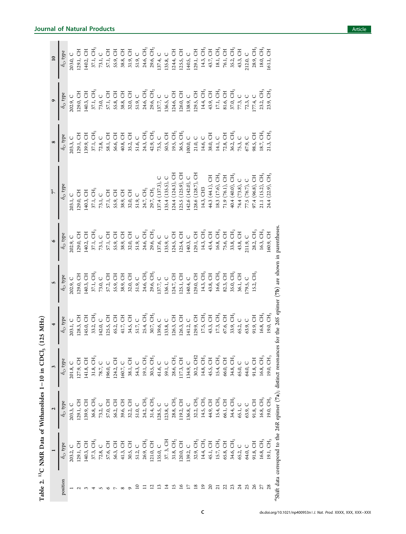<span id="page-2-0"></span>

|                | $\frac{1}{\delta_{\rm O} \text{ type}}$                            |                                         | $\frac{3}{\delta_{\rm C} \text{ type}}$ |                                                                        | s                                                                                                                                                                                   |                                                                                                                                                                               |                                                            |                                    |                                                                                                                                                                                                      | $\overline{10}$                                                        |
|----------------|--------------------------------------------------------------------|-----------------------------------------|-----------------------------------------|------------------------------------------------------------------------|-------------------------------------------------------------------------------------------------------------------------------------------------------------------------------------|-------------------------------------------------------------------------------------------------------------------------------------------------------------------------------|------------------------------------------------------------|------------------------------------|------------------------------------------------------------------------------------------------------------------------------------------------------------------------------------------------------|------------------------------------------------------------------------|
| position       |                                                                    | $\frac{\delta_{\rm C} \text{ type}}{}$  |                                         | $\delta_{\rm C}$ type                                                  | $\delta_{\rm C}$ , type                                                                                                                                                             | $\delta_{\rm C}$ , type                                                                                                                                                       | $\delta_{\rm C}$ type                                      | $\delta_{\rm C}$ type              | $\delta_{\rm C}$ , type                                                                                                                                                                              | $\delta_{\rm C}$ type                                                  |
|                |                                                                    |                                         |                                         | 203.1, C                                                               | 202.9, C                                                                                                                                                                            | 202.9, C                                                                                                                                                                      | 203.1, C                                                   | 203.3, C                           | 202.9, C                                                                                                                                                                                             | 203.0, C                                                               |
|                |                                                                    |                                         |                                         | $128.3, \, \text{CH}$                                                  | 129.0, CH                                                                                                                                                                           | 129.0, CH                                                                                                                                                                     | 129.0, CH                                                  | 129.1, CH                          | 129.0, CH                                                                                                                                                                                            | 129.1, CH                                                              |
|                |                                                                    |                                         |                                         | 145.0, CH                                                              |                                                                                                                                                                                     |                                                                                                                                                                               |                                                            |                                    |                                                                                                                                                                                                      |                                                                        |
|                |                                                                    |                                         |                                         | 33.2, $CH2$                                                            | $\begin{array}{ll} 140.3, \; {\rm CH} \\ 37.1, \; {\rm CH}, \\ 73.0, \; {\rm C} \\ 57.2, \; {\rm CH} \\ 57.3, \; {\rm CH} \\ 59.3, \; {\rm CH} \\ 38.9, \; {\rm CH} \\ \end{array}$ | 1402, CH<br>37.1, CH <sub>2</sub><br>73.1, CH<br>S7.1, CH<br>S5.9, CH                                                                                                         | 140.3, CH<br>37.1, CH <sub>2</sub><br>73.1, C<br>57.1, CH  | 139.9, CH<br>37.1, CH <sub>2</sub> | $\begin{array}{l} 1403, \, {\rm CH} \\ 37.1, \, {\rm CH} \\ 73.0, \, {\rm C} \\ 73.0, \, {\rm CH} \\ 57.1, \, {\rm CH} \\ 58.8, \, {\rm CH} \\ 38.8, \, {\rm CH} \\ 31.9, \, {\rm C} \\ \end{array}$ | 140.2, CH<br>37.1, CH <sub>2</sub><br>73.1, C                          |
|                |                                                                    |                                         |                                         |                                                                        |                                                                                                                                                                                     |                                                                                                                                                                               |                                                            |                                    |                                                                                                                                                                                                      |                                                                        |
|                |                                                                    |                                         |                                         |                                                                        |                                                                                                                                                                                     |                                                                                                                                                                               |                                                            |                                    |                                                                                                                                                                                                      |                                                                        |
|                |                                                                    |                                         |                                         | 142.0, C<br>125.5, CH<br>65.2, CH                                      |                                                                                                                                                                                     |                                                                                                                                                                               | 55.9, CH                                                   |                                    |                                                                                                                                                                                                      | 57.1, CH<br>55.9, CH<br>38.8, CH                                       |
|                |                                                                    |                                         |                                         | 41.7, CH                                                               |                                                                                                                                                                                     | 38.9, CH                                                                                                                                                                      | 38.9, CH                                                   |                                    |                                                                                                                                                                                                      |                                                                        |
|                |                                                                    |                                         |                                         |                                                                        | 32.0, CH<br>51.9, C<br>51.9, CH <sub>2</sub><br>29.6, CH <sub>2</sub><br>137.7, C                                                                                                   | 32.0, CH<br>51.9, C<br>24.6, CH <sub>2</sub><br>29.6, CH <sub>2</sub><br>137.6, C                                                                                             | 32.0, CH                                                   |                                    |                                                                                                                                                                                                      |                                                                        |
|                |                                                                    |                                         |                                         | 34.5, CH<br>51.7, C                                                    |                                                                                                                                                                                     |                                                                                                                                                                               | $51.9, C$                                                  |                                    |                                                                                                                                                                                                      |                                                                        |
|                |                                                                    |                                         |                                         | 25.4, CH <sub>2</sub><br>30.7, CH <sub>2</sub><br>139.6, C             |                                                                                                                                                                                     |                                                                                                                                                                               | 24.7, $\rm CH_{2}$                                         |                                    | 24.6, CH <sub>2</sub><br>29.6, CH <sub>2</sub><br>137.7, C                                                                                                                                           | 31.9, CH<br>51.9, C<br>24.6, CH <sub>2</sub><br>29.6, CH <sub>2</sub>  |
|                |                                                                    |                                         |                                         |                                                                        |                                                                                                                                                                                     |                                                                                                                                                                               | 29.7, CH <sub>2</sub><br>137.4 (137.3),                    |                                    |                                                                                                                                                                                                      |                                                                        |
|                |                                                                    |                                         |                                         |                                                                        |                                                                                                                                                                                     |                                                                                                                                                                               |                                                            |                                    |                                                                                                                                                                                                      | 137.4, C                                                               |
|                |                                                                    |                                         |                                         | 133.8, C                                                               | 136.1, C<br>124.7, CH                                                                                                                                                               | 135.9, C<br>124.5, CH                                                                                                                                                         | 135.4(135.5)                                               |                                    |                                                                                                                                                                                                      |                                                                        |
|                |                                                                    |                                         |                                         | 126.3, CH<br>126.3, CH                                                 |                                                                                                                                                                                     |                                                                                                                                                                               |                                                            |                                    | 136.5, C<br>124.6, CH                                                                                                                                                                                |                                                                        |
|                |                                                                    |                                         |                                         |                                                                        | $125.1, \, \mathrm{CH}$                                                                                                                                                             | 125.4, CH                                                                                                                                                                     | 124.4 (124.3), CH<br>125.5 (125.9), CH<br>142.6 (142.0), C |                                    | $126.0, \, \mathrm{CH}$                                                                                                                                                                              | 135.8, C<br>124.4, CH<br>125.5, CH                                     |
|                |                                                                    |                                         |                                         | 141.2, $C$                                                             | 140.4, C                                                                                                                                                                            | 140.3, C                                                                                                                                                                      |                                                            |                                    |                                                                                                                                                                                                      |                                                                        |
|                |                                                                    |                                         |                                         | 129.9, CH                                                              | 129.0, CH                                                                                                                                                                           | $129.1, \, \mathrm{CH}$                                                                                                                                                       | 128.6 (128.7), CH                                          |                                    | 138.9, C<br>129.5, CH                                                                                                                                                                                | 140.5, C<br>129.1, CH                                                  |
| $\overline{5}$ |                                                                    |                                         |                                         | 17.5, $CH_3$                                                           | 14.3, CH <sub>3</sub>                                                                                                                                                               | 14.3, $CH3$                                                                                                                                                                   | 14.3, CH3                                                  |                                    | 14.4, CH <sub>3</sub>                                                                                                                                                                                |                                                                        |
| $\Omega$       |                                                                    |                                         |                                         |                                                                        |                                                                                                                                                                                     |                                                                                                                                                                               | 44.3 (44.1), CH                                            |                                    |                                                                                                                                                                                                      |                                                                        |
| $\overline{z}$ |                                                                    |                                         |                                         | 43.3, CH<br>17.3, CH <sub>3</sub><br>67.6, CH<br>33.9, CH <sub>2</sub> | 43.8, CH<br>16.6, CH <sub>3</sub><br>82.3, CH                                                                                                                                       | $\begin{array}{l} 434, \, {\rm CH} \\ 16.8, \, {\rm CH} \\ 75.6, \, {\rm CH} \\ 33.8, \, {\rm CH} \\ 43.8, \, {\rm CH} \\ 43.8, \, {\rm CH} \\ 211.9, \, {\rm C} \end{array}$ | 18.3 (17.6), CH <sub>3</sub><br>71.9 (76.1), CH            |                                    | 43.9, CH<br>17.1, CH <sub>3</sub><br>17.1, CH <sub>3</sub><br>37.0, CH <sub>3</sub><br>77.3, 2, C<br>177.4, C<br>177.4, C                                                                            | 14.3, CH <sub>3</sub><br>43.7, CH<br>18.1, CH <sub>5</sub><br>76.1, CH |
| 22             |                                                                    |                                         |                                         |                                                                        |                                                                                                                                                                                     |                                                                                                                                                                               |                                                            |                                    |                                                                                                                                                                                                      |                                                                        |
| 23             |                                                                    |                                         |                                         |                                                                        | $35.0, \mathrm{CH}_2$ $36.1, \mathrm{CH}$                                                                                                                                           |                                                                                                                                                                               | 40.4 (40.0), CH <sub>2</sub>                               |                                    |                                                                                                                                                                                                      | 35.2, $CH2$<br>43.3, CH                                                |
| 24             |                                                                    |                                         |                                         | 65.2, C<br>63.9, C                                                     |                                                                                                                                                                                     |                                                                                                                                                                               | $\circ$<br>74.4 $(73.8)$ , $(76.7)$ , $(76.7)$             |                                    |                                                                                                                                                                                                      |                                                                        |
|                |                                                                    |                                         |                                         |                                                                        | 179.5, C                                                                                                                                                                            |                                                                                                                                                                               |                                                            |                                    |                                                                                                                                                                                                      | 212.0, C                                                               |
| $\delta$       |                                                                    | 65.1, C<br>63.9, C<br>91.8, CH          |                                         | 91.9, CH                                                               | E<br>15.2,                                                                                                                                                                          | 28.2, $\rm CH_{3}$                                                                                                                                                            | <b>FO</b><br>97.4 (96.8),                                  |                                    |                                                                                                                                                                                                      | 28.9, CH <sub>3</sub>                                                  |
|                |                                                                    | $16.8,\, {\rm CH}_3$ 19.0, ${\rm CH}_3$ |                                         | $16.8,\, {\rm CH}_3,\,$ 19.0, ${\rm CH}_3$                             |                                                                                                                                                                                     |                                                                                                                                                                               | E,<br>21.1 (15.2),                                         |                                    | 23.2, CH <sub>3</sub>                                                                                                                                                                                | 18.0, CH <sub>3</sub>                                                  |
| 28             |                                                                    |                                         |                                         |                                                                        |                                                                                                                                                                                     | 16.3, CH <sub>3</sub><br>160.9, CH                                                                                                                                            | E,<br>$(22.9)$ ,<br>24.4                                   | Ë<br>21.3,                         | 23.9, CH                                                                                                                                                                                             | 161.1, CH                                                              |
|                | "Shift data correspond to the 26R epimer (7a); distinct resonances |                                         |                                         |                                                                        | for the 26S epimer (7b) are shown in parentheses                                                                                                                                    |                                                                                                                                                                               |                                                            |                                    |                                                                                                                                                                                                      |                                                                        |

Table 2. 13C NMR Data of Withanolides 1

Table 2. <sup>13</sup>C NMR Data of Withanolides 1-10 in CDCl<sub>3</sub> (125 MHz)

 $-10$  in  $CDCl<sub>3</sub>$  (125 MHz)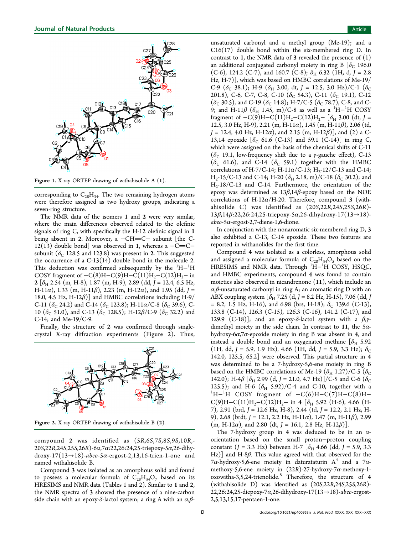<span id="page-3-0"></span>

Figure 1. X-ray ORTEP drawing of withahisolide A (1).

corresponding to  $C_{28}H_{34}$ . The two remaining hydrogen atoms were therefore assigned as two hydroxy groups, indicating a seven-ring structure.

The NMR data of the isomers 1 and 2 were very similar, where the main differences observed related to the olefinic signals of ring C, with specifically the H-12 olefinic signal in 1 being absent in 2. Moreover, a −CH=C− subunit [the C-12(13) double bond] was observed in 1, whereas a  $-C=C$ subunit ( $\delta_c$  128.5 and 123.8) was present in 2. This suggested the occurrence of a  $C-13(14)$  double bond in the molecule 2. This deduction was confirmed subsequently by the  ${}^{1}H-{}^{1}H$ COSY fragment of  $-C(8)H-C(9)H-C(11)H_2-C(12)H_2$  in  $2~[\delta_{\rm H}$  2.54 (m, H-8), 1.87 (m, H-9), 2.89 (dd, J = 12.4, 6.5 Hz, H-11a), 1.33 (m, H-11 $\beta$ ), 2.23 (m, H-12a), and 1.95 (dd, J = 18.0, 4.5 Hz, H-12 $\beta$ ) and HMBC correlations including H-9/ C-11 ( $\delta_c$  24.2) and C-14 ( $\delta_c$  123.8); H-11 $\alpha$ /C-8 ( $\delta_c$  39.6), C-10 ( $\delta_c$  51.0), and C-13 ( $\delta_c$  128.5); H-12 $\beta$ /C-9 ( $\delta_c$  32.2) and C-14; and Me-19/C-9.

Finally, the structure of 2 was confirmed through singlecrystal X-ray diffraction experiments (Figure 2). Thus,



Figure 2. X-ray ORTEP drawing of withahisolide B (2).

compound 2 was identified as (5R,6S,7S,8S,9S,10R,- 20S,22R,24S,25S,26R)-6α,7α:22,26:24,25-triepoxy-5α,26-dihy- $\frac{d \cos y - 17(13 \rightarrow 18)}{ab \cos 5\alpha - \frac{13}{13}}$ . 16-trien-1-one and named withahisolide B.

Compound 3 was isolated as an amorphous solid and found to possess a molecular formula of  $C_{28}H_{34}O_7$  based on its HRESIMS and NMR data (Tables 1 and 2). Similar to 1 and 2, the NMR spectra of 3 showed th[e](#page-1-0) pres[en](#page-2-0)ce of a nine-carbon side chain with an epoxy- $\delta$ -lactol system; a ring A with an  $\alpha$ , $\beta$ -

unsaturated carbonyl and a methyl group (Me-19); and a  $C16(17)$  double bond within the six-membered ring D. In contrast to 1, the NMR data of 3 revealed the presence of  $(1)$ an additional conjugated carbonyl moiety in ring B  $\delta_c$  196.0 (C-6), 124.2 (C-7), and 160.7 (C-8);  $\delta_{\rm H}$  6.32 (1H, d, J = 2.8 Hz, H-7)], which was based on HMBC correlations of Me-19/ C-9 ( $\delta_C$  38.1); H-9 ( $\delta_H$  3.00, dt, J = 12.5, 3.0 Hz)/C-1 ( $\delta_C$ 201.8), C-6, C-7, C-8, C-10 ( $\delta_c$  54.3), C-11 ( $\delta_c$  19.1), C-12 ( $\delta$ <sub>C</sub> 30.5), and C-19 ( $\delta$ <sub>C</sub> 14.8); H-7/C-5 ( $\delta$ <sub>C</sub> 78.7), C-8, and C-9; and H-11 $\beta$   $(\delta_{\rm H}$  1.45, m)/C-8 as well as a  $^1{\rm H}-^1{\rm H}$  COSY fragment of  $-C(9)H-C(11)H_2-C(12)H_2-\left[\delta_H\right]3.00$  (dt, J = 12.5, 3.0 Hz, H-9), 2.21 (m, H-11 $\alpha$ ), 1.45 (m, H-11 $\beta$ ), 2.06 (td,  $J = 12.4$ , 4.0 Hz, H-12 $\alpha$ ), and 2.15 (m, H-12 $\beta$ )], and (2) a C-13,14 epoxide  $[\delta_C 61.6 (C-13)$  and 59.1 (C-14)] in ring C, which were assigned on the basis of the chemical shifts of C-11 ( $\delta_c$  19.1, low-frequency shift due to a *γ*-gauche effect), C-13  $(\delta_C$  61.6), and C-14  $(\delta_C$  59.1) together with the HMBC correlations of H-7/C-14; H-11 $\alpha$ /C-13; H<sub>2</sub>-12/C-13 and C-14; H<sub>2</sub>-15/C-13 and C-14; H-20 ( $\delta$ <sub>H</sub> 2.18, m)/C-18 ( $\delta$ <sub>C</sub> 30.2); and  $H_2$ -18/C-13 and C-14. Furthermore, the orientation of the epoxy was determined as 13β,14β-epoxy based on the NOE correlations of H-12 $\alpha$ /H-20. Therefore, compound 3 (withahisolide C) was identified as (20S,22R,24S,25S,26R)- 13β,14β:22,26:24,25-triepoxy-5α,26-dihydroxy-17(13→18)  $abeo$ -5 $\alpha$ -ergost-2,7-diene-1,6-dione.

In conjunction with the nonaromatic six-membered ring D, 3 also exhibited a C-13, C-14 epoxide. These two features are reported in withanolides for the first time.

Compound 4 was isolated as a colorless, amorphous solid and assigned a molecular formula of  $C_{28}H_{34}O_5$  based on the  $HRESIMS$  and NMR data. Through  $^1H-^1H$  COSY, HSQC, and HMBC experiments, compound 4 was found to contain moieties also observed in nicandrenone (11), which include an  $\alpha$ , $\beta$ -unsaturated carbonyl in ring A; an aromatic ring D with an ABX coupling system  $[\delta_H 7.25 \, (d, J = 8.2 \, Hz, H-15), 7.06 \, (dd, J$ = 8.2, 1.5 Hz, H-16), and 6.98 (brs, H-18);  $\delta_C$  139.6 (C-13), 133.8 (C-14), 126.3 (C-15), 126.3 (C-16), 141.2 (C-17), and 129.9 (C-18)]; and an epoxy-δ-lactol system with a  $β, γ$ dimethyl moiety in the side chain. In contrast to 11, the  $5\alpha$ hydroxy-6 $\alpha$ ,7 $\alpha$ -epoxide moiety in ring B was absent in 4, and instead a double bond and an oxygenated methine  $[\delta_{H}$  5.92 (1H, dd, J = 5.9, 1.9 Hz), 4.66 (1H, dd, J = 5.9, 3.3 Hz);  $\delta_{\rm C}$ 142.0, 125.5, 65.2] were observed. This partial structure in 4 was determined to be a 7-hydroxy-5,6-ene moiety in ring B based on the HMBC correlations of Me-19 ( $\delta_H$  1.27)/C-5 ( $\delta_C$ 142.0); H-4 $\beta$  [ $\delta$ <sub>H</sub> 2.99 (d, J = 21.0, 4.7 Hz)]/C-5 and C-6 ( $\delta$ <sub>C</sub> 125.5); and H-6  $(\delta_{\rm H}$  5.92)/C-4 and C-10, together with a H−<sup>1</sup> H COSY fragment of −C(6)H−C(7)H−C(8)H−  $C(9)H-C(11)H_2-C(12)H_2-$  in 4 [ $\delta_H$  5.92 (H-6), 4.66 (H-7), 2.91 (brd, J = 12.6 Hz, H-8), 2.44 (td, J = 12.2, 2.1 Hz, H-9), 2.68 (brdt, J = 12.1, 2.2 Hz, H-11 $\alpha$ ), 1.47 (m, H-11 $\beta$ ), 2.99  $(m, H-12\alpha)$ , and 2.80 (dt, J = 16.1, 2.8 Hz, H-12 $\beta$ )].

The 7-hydroxy group in 4 was deduced to be in an  $\alpha$ orientation based on the small proton−proton coupling constant (J = 3.3 Hz) between H-7  $\delta$ <sub>H</sub> 4.66 (dd, J = 5.9, 3.3) Hz)] and H-8β. This value agreed with that observed for the 7 $\alpha$ -hydroxy-5,6-ene moiety in daturataturin A<sup>4</sup> and a 7 $\alpha$ methoxy-5,6-ene moiety in  $(22R)$ -2[7](#page-8-0)-hydroxy-7 $\alpha$ -methoxy-1oxowitha-3,5,24-trienolide.<sup>5</sup> Therefore, the structure of 4 (withahisolid[e](#page-8-0)  $D$ ) was identified as  $(20S, 22R, 24S, 25S, 26R)$ -22,26:24,25-diepoxy-7 $\alpha$ ,26-dihydroxy-17(13 $\rightarrow$ 18)-abeo-ergost-2,5,13,15,17-pentaen-1-one.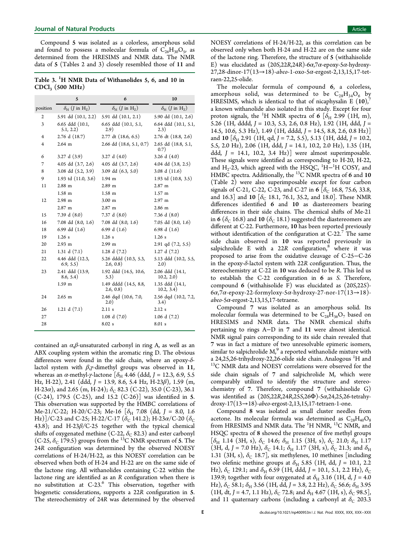## <span id="page-4-0"></span>**Journal of Natural Products** Article **Article** Article **Article** Article **Article** Article **Article** Article **Article**

Compound 5 was isolated as a colorless, amorphous solid and found to possess a molecular formula of  $C_{26}H_{30}O_5$ , as determined from the HRESIMS and NMR data. The NMR data of 5 (Tables [2](#page-2-0) and 3) closely resembled those of 11 and

Table 3.  $^{1}H$  NMR Data of Withanolides 5, 6, and 10 in  $CDCl<sub>3</sub>$  (500 MHz)

|                | 5                                               | 6                                               | 10                                              |
|----------------|-------------------------------------------------|-------------------------------------------------|-------------------------------------------------|
| position       | $\delta_{\rm H}$ ( <i>J</i> in H <sub>z</sub> ) | $\delta_{\rm H}$ ( <i>J</i> in H <sub>z</sub> ) | $\delta_{\rm H}$ ( <i>J</i> in H <sub>z</sub> ) |
| 2              | 5.91 dd (10.1, 2.2)                             | 5.91 dd (10.1, 2.1)                             | $5.90$ dd $(10.1, 2.6)$                         |
| 3              | 6.65 ddd (10.1,<br>5.1, 2.2)                    | 6.65 ddd (10.1, 5.1,<br>2.9)                    | 6.64 ddd (10.1, 5.1,<br>2.3)                    |
| $\overline{4}$ | $2.76$ d $(18.7)$                               | $2.77$ dt $(18.6, 6.5)$                         | 2.76 dt (18.8, 2.6)                             |
| $\overline{4}$ | $2.64$ m                                        | 2.66 dd (18.6, 5.1, 0.7)                        | 2.65 dd (18.8, 5.1,<br>0.7)                     |
| 6              | 3.27 d(3.9)                                     | 3.27 d $(4.0)$                                  | 3.26 d $(4.0)$                                  |
| 7              | 4.05 dd $(3.7, 2.6)$                            | 4.05 dd (3.7, 2.6)                              | 4.04 dd (3.8, 2.5)                              |
| 8              | 3.08 dd (5.2, 3.9)                              | 3.09 dd $(6.3, 5.0)$                            | 3.08 d $(11.6)$                                 |
| 9              | 1.93 td (11.0, 3.6)                             | $1.94$ m                                        | 1.93 td (10.8, 3.5)                             |
| 11             | $2.88$ m                                        | $2.89$ m                                        | $2.87$ m                                        |
|                | $1.58$ m                                        | $1.58$ m                                        | $1.57$ m                                        |
| 12             | $2.98$ m                                        | 3.00 <sub>m</sub>                               | $2.97$ m                                        |
|                | $2.87$ m                                        | 2.87 m                                          | 2.86 m                                          |
| 15             | 7.39 d $(8.0)$                                  | 7.37 d $(8.0)$                                  | 7.36 d $(8.0)$                                  |
| 16             | 7.08 dd (8.0, 1.6)                              | $7.08$ dd $(8.0, 1.6)$                          | 7.05 dd $(8.0, 1.6)$                            |
| 18             | 6.99 dd $(1.6)$                                 | 6.99 d $(1.6)$                                  | 6.98 d $(1.6)$                                  |
| 19             | 1.26 s                                          | 1.26s                                           | $1.26$ s                                        |
| 20             | $2.93 \text{ m}$                                | $2.99$ m                                        | $2.91$ qd $(7.2, 5.5)$                          |
| 21             | 1.31 d $(7.1)$                                  | 1.28 d $(7.2)$                                  | 1.27 d(7.2)                                     |
| 22             | 4.46 ddd (12.3,<br>6.9, 5.5)                    | 5.26 dddd (10.3, 5.3,<br>2.6, 0.8)              | 5.13 ddd (10.2, 5.5,<br>2.0)                    |
| 23             | 2.41 ddd (13.9,<br>8.6, 5.4)                    | 1.92 ddd (14.5, 10.6,<br>5.3)                   | 2.06 ddd (14.1,<br>10.2, 2.0)                   |
|                | 1.59 m                                          | 1.49 dddd (14.5, 8.8,<br>2.6, 0.8)              | 1.35 ddd (14.1,<br>10.2, 3.4)                   |
| 24             | $2.65 \text{ m}$                                | 2.46 dqd (10.6, 7.0,<br>2.0)                    | 2.56 dqd (10.2, 7.2,<br>3.4)                    |
| 26             | 1.21 d $(7.1)$                                  | 2.11 s                                          | 2.12 s                                          |
| 27             |                                                 | 1.08 d(7.0)                                     | $1.06$ d $(7.2)$                                |
| 28             |                                                 | 8.02 s                                          | 8.01 s                                          |
|                |                                                 |                                                 |                                                 |

contained an  $\alpha$ , $\beta$ -unsaturated carbonyl in ring A, as well as an ABX coupling system within the aromatic ring D. The obvious differences were found in the side chain, where an epoxy-δlactol system with  $\beta$ , $\gamma$ -dimethyl groups was observed in 11, whereas an α-methyl-γ-lactone [ $\delta$ <sub>H</sub> 4.46 (ddd, J = 12.3, 6.9, 5.5 Hz, H-22), 2.41 (ddd, J = 13.9, 8.6, 5.4 Hz, H-23 $\beta$ ), 1.59 (m, H-23 $\alpha$ ), and 2.65 (m, H-24);  $\delta_C$  82.3 (C-22), 35.0 (C-23), 36.1 (C-24), 179.5 (C-25), and 15.2 (C-26)] was identified in 5. This observation was supported by the HMBC correlations of Me-21/C-22; H-20/C-23; Me-16  $[\delta_{\rm H}$  7.08 (dd, J = 8.0, 1.6 Hz)]/C-23 and C-25; H-22/C-17 ( $\delta_c$  141.2); H-23 $\alpha$ /C-20 ( $\delta_c$ 43.8); and H-23 $\beta$ /C-25 together with the typical chemical shifts of oxygenated methine (C-22,  $\delta_C$  82.3) and ester carbonyl (C-25,  $\delta$ <sub>C</sub> 179.5) groups from the <sup>13</sup>C NMR spectrum of 5. The 24R configuration was determined by the observed NOESY correlations of H-24/H-22, as this NOESY correlation can be observed when both of H-24 and H-22 are on the same side of the lactone ring. All withanolides containing C-22 within the lactone ring are identified as an R configuration when there is no substitution at C-23.<sup>6</sup> This observation, together with biogenetic considerations, [s](#page-8-0)upports a 22R configuration in 5. The stereochemistry of 24R was determined by the observed

NOESY correlations of H-24/H-22, as this correlation can be observed only when both H-24 and H-22 are on the same side of the lactone ring. Therefore, the structure of 5 (withahisolide E) was elucidated as  $(20S, 22R, 24R)$ -6 $\alpha$ ,7 $\alpha$ -epoxy-5 $\alpha$ -hydroxy-27,28-dinor-17(13→18)-abeo-1-oxo-5α-ergost-2,13,15,17-tetraen-22,25-olide.

The molecular formula of compound 6, a colorless, amorphous solid, was determined to be  $C_{28}H_{34}O_6$  by HRESIMS, which is identical to that of nicaphysalin E  $(10)$ , a known withanolide also isolated in this study. Except for fo[ur](#page-8-0) proton signals, the  $^1\mathrm{H}$  NMR spectra of **6**  $[\delta_{\mathrm{H}}$  2.99  $(\mathrm{1H,~m})$ , 5.26 (1H, dddd,  $J = 10.3$ , 5.3, 2.6, 0.8 Hz), 1.92 (1H, ddd,  $J =$ 14.5, 10.6, 5.3 Hz), 1.49 (1H, dddd, J = 14.5, 8.8, 2.6, 0.8 Hz)] and 10  $[\delta_{H}$  2.91 (1H, qd, J = 7.2, 5.5), 5.13 (1H, ddd, J = 10.2, 5.5, 2.0 Hz), 2.06 (1H, ddd, J = 14.1, 10.2, 2.0 Hz), 1.35 (1H, ddd,  $J = 14.1, 10.2, 3.4 Hz$ ] were almost superimposable. These signals were identified as corresponding to H-20, H-22, and  $\rm H_2$ -23, which agreed with the HSQC,  $\rm ^1H-^{1}H$  COSY, and HMBC spectra. Additionally, the <sup>13</sup>C NMR spectra of 6 and 10 (Table 2) were also superimposable except for four carbon signals [of](#page-2-0) C-21, C-22, C-23, and C-27 in 6  $[\delta_C 16.8, 75.6, 33.8,$ and 16.3] and 10  $[\delta_C$  18.1, 76.1, 35.2, and 18.0]. These NMR differences identified 6 and 10 as diastereomers bearing differences in their side chains. The chemical shifts of Me-21 in 6 ( $\delta$ <sub>C</sub> 16.8) and 10 ( $\delta$ <sub>C</sub> 18.1) suggested the diastereomers are different at C-22. Furthermore, 10 has been reported previously without identification of the configuration at  $C-22$ .<sup>7</sup> The same side chain observed in 10 was reported pr[ev](#page-8-0)iously in salpichrolide E with a 22R configuration,  $\overset{\circ}{\text{where}}$  it was proposed to arise from the oxidative cleava[ge](#page-8-0) of C-25−C-26 in the epoxy- $\delta$ -lactol system with 22R configuration. Thus, the stereochemistry at C-22 in 10 was deduced to be R. This led us to establish the C-22 configuration in 6 as S. Therefore, compound 6 (withahisolide F) was elucidated as (20S,22S)-  $6\alpha$ ,7 $\alpha$ -epoxy-22-formyloxy-5 $\alpha$ -hydroxy-27-nor-17(13 $\rightarrow$ 18) $abeo$ -5 $\alpha$ -ergost-2,13,15,17-tetraene.

Compound 7 was isolated as an amorphous solid. Its molecular formula was determined to be  $C_{28}H_{36}O_7$  based on HRESIMS and NMR data. The NMR chemical shifts pertaining to rings A−D in 7 and 11 were almost identical. NMR signal pairs corresponding to its side chain revealed that 7 was in fact a mixture of two unresolvable epimeric isomers, similar to salpichrolide  $M<sub>1</sub><sup>9</sup>$  a reported withanolide mixture with a 24,25,[26](#page-8-0)-trihydroxy-22,26-olide side chain. Analogous <sup>1</sup>H and <sup>13</sup>C NMR data and NOESY correlations were observed for the side chain signals of 7 and salpichrolide M, which were comparably utilized to identify the structure and stereochemistry of 7. Therefore, compound 7 (withahisolide G) was identified as  $(20S, 22R, 24R, 25S, 26\Phi)$ -5α,24,25,26-tetrahydroxy-17(13 $\rightarrow$ 18)-abeo-ergost-2,13,15,17-tetraen-1-one.

Compound 8 was isolated as small cluster needles from acetone. Its molecular formula was determined as  $C_{28}H_{40}O_8$ from HRESIMS and NMR data. The <sup>1</sup>H NMR, <sup>13</sup>C NMR, and HSQC spectra of 8 showed the presence of five methyl groups  $[\delta_{\rm H}$  1.14 (3H, s),  $\delta_{\rm C}$  14.6;  $\delta_{\rm H}$  1.15 (3H, s),  $\delta_{\rm C}$  21.0;  $\delta_{\rm H}$  1.17 (3H, d, J = 7.0 Hz),  $\delta_{\rm C}$  14.1;  $\delta_{\rm H}$  1.17 (3H, s),  $\delta_{\rm C}$  21.3; and  $\delta_{\rm H}$ 1.31 (3H, s),  $\delta_C$  18.7], six methylenes, 10 methines [including two olefinic methine groups at  $\delta_H$  5.85 (1H, dd, J = 10.1, 2.2 Hz),  $\delta_C$  129.1; and  $\delta_H$  6.59 (1H, ddd, J = 10.1, 5.1, 2.2 Hz),  $\delta_C$ 139.9; together with four oxygenated at  $\delta_H$  3.16 (1H, d, J = 4.0) Hz),  $\delta_C$  58.1;  $\delta_H$  3.56 (1H, dd, J = 3.8, 2.2 Hz),  $\delta_C$  56.6;  $\delta_H$  3.95 (1H, dt, J = 4.7, 1.1 Hz),  $\delta_{\rm C}$  72.8; and  $\delta_{\rm H}$  4.67 (1H, s),  $\delta_{\rm C}$  98.5], and 11 quaternary carbons (including a carbonyl at  $\delta_C$  203.3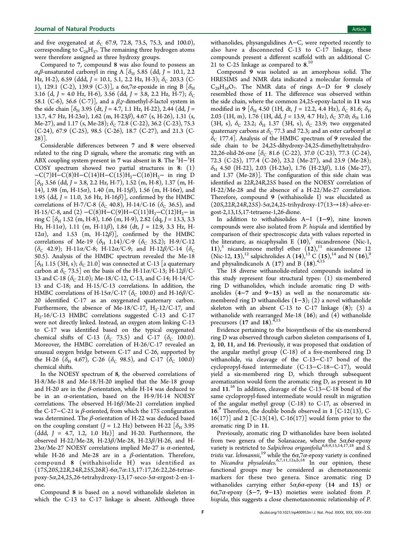and five oxygenated at  $\delta_C$  67.9, 72.8, 73.5, 75.3, and 100.0), corresponding to  $C_{28}H_{37}$ . The remaining three hydrogen atoms were therefore assigned as three hydroxy groups.

Compared to 7, compound 8 was also found to possess an α,β-unsaturated carbonyl in ring A [ $\delta$ <sub>H</sub> 5.85 (dd, J = 10.1, 2.2 Hz, H-2), 6.59 (ddd, J = 10.1, 5.1, 2.2 Hz, H-3);  $\delta_C$  203.3 (C-1), 129.1 (C-2), 139.9 (C-3)], a 6α,7α-epoxide in ring B [ $δ$ <sub>H</sub> 3.16 (d, J = 4.0 Hz, H-6), 3.56 (dd, J = 3.8, 2.2 Hz, H-7);  $\delta_c$ 58.1 (C-6), 56.6 (C-7)], and a  $β, γ$ -dimethyl- $δ$ -lactol system in the side chain  $\delta_H$  3.95 (dt, J = 4.7, 1.1 Hz, H-22), 2.44 (dd, J = 13.7, 4.7 Hz, H-23 $\alpha$ ), 1.62 (m, H-23 $\beta$ ), 4.67 (s, H-26), 1.31 (s, Me-27), and 1.17 (s, Me-28);  $\delta$ <sub>C</sub> 72.8 (C-22), 36.2 (C-23), 75.3 (C-24), 67.9 (C-25), 98.5 (C-26), 18.7 (C-27), and 21.3 (C-28)].

Considerable differences between 7 and 8 were observed related to the ring D signals, where the aromatic ring with an ABX coupling system present in 7 was absent in 8. The  $\mathrm{^{1}H-^{1}H}$ COSY spectrum showed two partial structures in 8: (1)  $-C(7)H-C(8)H-C(14)H-C(15)H<sub>2</sub>-C(16)H<sub>2</sub>$ - in ring D  $\delta_H$  3.56 (dd, J = 3.8, 2.2 Hz, H-7), 1.52 (m, H-8), 1.37 (m, H-14), 1.98 (m, H-15 $\alpha$ ), 1.40 (m, H-15 $\beta$ ), 1.56 (m, H-16 $\alpha$ ), and 1.95 (dd, J = 11.0, 3.6 Hz, H-16 $\beta$ )], confirmed by the HMBC correlations of H-7/C-8 ( $\delta$ <sub>C</sub> 40.8), H-14/C-16 ( $\delta$ <sub>C</sub> 36.5), and H-15/C-8, and (2)  $-C(8)H-C(9)H-C(11)H_2-C(12)H_2$  in ring C  $[\delta_{H}$  1.52 (m, H-8), 1.66 (m, H-9), 2.82 (dq, J = 13.3, 3.3 Hz, H-11 $\alpha$ ), 1.11 (m, H-11 $\beta$ ), 1.84 (dt, J = 12.9, 3.3 Hz, H-12 $\alpha$ ), and 1.53 (m, H-12 $\beta$ )], confirmed by the HMBC correlations of Me-19 ( $\delta_{\text{H}}$  1.14)/C-9 ( $\delta_{\text{C}}$  35.2); H-9/C-12  $(\delta_C$  42.9); H-11α/C-8; H-12α/C-9; and H-12β/C-14 ( $\delta_C$ 50.5). Analysis of the HMBC spectrum revealed the Me-18  $[\delta_{\rm H}$  1.15 (3H, s);  $\delta_{\rm C}$  21.0] was connected at C-13 [a quaternary carbon at  $\delta_c$  73.5] on the basis of the H-11 $\alpha$ /C-13; H-12 $\beta$ /C-13 and C-18 ( $\delta$ <sub>C</sub> 21.0); Me-18/C-12, C-13, and C-14; H-14/C-13 and C-18; and H-15/C-13 correlations. In addition, the HMBC correlations of H-15 $\alpha$ /C-17 ( $\delta$ <sub>C</sub> 100.0) and H-16 $\beta$ /C-20 identified C-17 as an oxygenated quaternary carbon. Furthermore, the absence of Me-18/C-17,  $H_2$ -12/C-17, and H<sub>2</sub>-16/C-13 HMBC correlations suggested C-13 and C-17 were not directly linked. Instead, an oxygen atom linking C-13 to C-17 was identified based on the typical oxygenated chemical shifts of C-13 ( $\delta$ <sub>C</sub> 73.5) and C-17 ( $\delta$ <sub>C</sub> 100.0). Moreover, the HMBC correlation of H-26/C-17 revealed an unusual oxygen bridge between C-17 and C-26, supported by the H-26 ( $\delta_{\text{H}}$  4.67), C-26 ( $\delta_{\text{C}}$  98.5), and C-17 ( $\delta_{\text{C}}$  100.0) chemical shifts.

In the NOESY spectrum of 8, the observed correlations of H-8/Me-18 and Me-18/H-20 implied that the Me-18 group and H-20 are in the  $\beta$ -orientation, while H-14 was deduced to be in an  $\alpha$ -orientation, based on the H-9/H-14 NOESY correlations. The observed H-16 $\beta$ /Me-21 correlation implied the C-17–C-21 is  $\beta$ -oriented, from which the 17S configuration was determined. The  $β$ -orientation of H-22 was deduced based on the coupling constant ( $J = 1.2$  Hz) between H-22  $[\delta_H]$  3.95 (ddd,  $J = 4.7, 1.2, 1.0 Hz$ ) and H-20. Furthermore, the observed H-22/Me-28, H-23 $\beta$ /Me-28, H-23 $\beta$ /H-26, and H- $23\alpha$ /Me-27 NOESY correlations implied Me-27 is  $\alpha$ -oriented, while H-26 and Me-28 are in a  $β$ -orientation. Therefore, compound 8 (withahisolide H) was identified as  $(17S, 20S, 22R, 24R, 25S, 26R)$ -6 $\alpha$ ,7 $\alpha$ :13,17:17,26:22,26-tetraepoxy-5α,24,25,26-tetrahydroxy-13,17-seco-5α-ergost-2-en-1 one.

Compound 8 is based on a novel withanolide skeleton in which the C-13 to C-17 linkage is absent. Although three withanolides, physangulidines A−C, were reported recently to also have a disconnected C-13 to C-17 linkage, these compounds present a different scaffold with an additional C-21 to C-25 linkage as compared to  $8.^{10}$ 

Compound 9 was isolated as an [a](#page-8-0)morphous solid. The HRESIMS and NMR data indicated a molecular formula of  $C_{28}H_{34}O_7$ . The NMR data of rings A–D for 9 closely resembled those of 11. The difference was observed within the side chain, where the common 24,25-epoxy-lactol in 11 was modified in 9  $[\delta_{H}$  4.50 (1H, dt, J = 12.2, 4.4 Hz),  $\delta_{C}$  81.6;  $\delta_{H}$ 2.03 (1H, m), 1.76 (1H, dd, J = 13.9, 4.7 Hz),  $\delta_{\rm C}$  37.0;  $\delta_{\rm H}$  1.16 (3H, s),  $\delta_{\rm C}$  23.2;  $\delta_{\rm H}$  1.37 (3H, s),  $\delta_{\rm C}$  23.9; two oxygenated quaternary carbons at  $\delta$ <sub>C</sub> 77.3 and 72.3; and an ester carbonyl at  $\delta_c$  177.4]. Analysis of the HMBC spectrum of 9 revealed the side chain to be 24,25-dihydroxy-24,25-dimethyltetrahydro-22,26-olid-26-one  $\delta_C$  81.6 (C-22), 37.0 (C-23), 77.3 (C-24), 72.3 (C-25), 177.4 (C-26), 23.2 (Me-27), and 23.9 (Me-28);  $\delta_{\rm H}$  4.50 (H-22), 2.03 (H-23 $\alpha$ ), 1.76 (H-23 $\beta$ ), 1.16 (Me-27), and 1.37 (Me-28)]. The configuration of this side chain was identified as 22R,24R,25S based on the NOESY correlation of H-22/Me-28 and the absence of a H-22/Me-27 correlation. Therefore, compound 9 (withahisolide I) was elucidated as  $(20S, 22R, 24R, 25S)$ -5α,24,25-trihydroxy-17(13→18)-abeo-ergost-2,13,15,17-tetraene-1,26-dione.

In addition to withahisolides A−I (1−9), nine known compounds were also isolated from P. hispida and identified by comparison of their spectroscopic data with values reported in the literature, as nicaphysalin E  $(10)$ ,<sup>7</sup> nicandrenone (Nic-1, 11),<sup>3</sup> nicandrenone methyl ether  $(12)$  $(12)$  $(12)$ ,<sup>11</sup> nicandrenone 12 (Ni[c-](#page-8-0)12, 13),<sup>12</sup> salpichrolides A (14),<sup>13</sup> C (15),<sup>14</sup> and N (16),<sup>[9](#page-8-0)</sup> and physalin[dic](#page-8-0)anols A  $(17)$  and B  $(18)$  $(18)$  $(18)$ .<sup>4,15</sup>

The 18 diverse withanolide-related c[omp](#page-8-0)ounds isolated in this study represent four structural types: (1) six-membered ring D withanolides, which include aromatic ring D withanolides (4−7 and 9−15) as well as the nonaromatic sixmembered ring D withanolides (1−3); (2) a novel withanolide skeleton with an absent C-13 to C-17 linkage  $(8)$ ;  $(3)$  a withanolide with rearranged Me-18 (16); and (4) withanolide precursors  $(17 \text{ and } 18).$ <sup>4,15</sup>

Evidence pertaining t[o](#page-8-0) [th](#page-8-0)e biosynthesis of the six-membered ring D was observed through carbon skeleton comparisons of 1, 2, 10, 11, and 16. Previously, it was proposed that oxidation of the angular methyl group (C-18) of a five-membered ring D withanolide, via cleavage of the C-13−C-17 bond of the cyclopropyl-fused intermediate (C-13−C-18−C-17), would yield a six-membered ring D, which through subsequent aromatization would form the aromatic ring D, as present in 10 and  $11.^{16}$  In addition, cleavage of the C-13–C-18 bond of the same c[ycl](#page-8-0)opropyl-fused intermediate would result in migration of the angular methyl group (C-18) to C-17, as observed in 16. <sup>9</sup> Therefore, the double bonds observed in 1 [C-12(13), C- $16(17)$  $16(17)$  $16(17)$ ] and  $2$  [C-13(14), C-16(17)] would form prior to the aromatic ring D in 11.

Previously, aromatic ring D withanolides have been isolated from two genera of the Solanaceae, where the  $5\alpha, 6\alpha$ -epoxy variety is restricted to Salpichroa origanifolia<sup>6,8,9,13,14,17,18</sup> and S. tr[is](#page-8-0)tis var. lehmannii,<sup>19</sup> while the 6 $\alpha$ ,7 $\alpha$ -epox[y](#page-8-0) [variety](#page-8-0) is [co](#page-8-0)nfined to Nicandra phys[alo](#page-8-0)ides.<sup>6,7,11,12a,b,18</sup> In our opinion, these functional groups may [be](#page-8-0) [conside](#page-8-0)red as chemotaxonomic markers for these two genera. Since aromatic ring D withanolides carrying either  $5\alpha, 6\alpha$ -epoxy (14 and 15) or  $6\alpha$ ,7 $\alpha$ -epoxy (5–7, 9–13) moieties were isolated from P. hispida, this suggests a close chemotaxonomic relationship of P.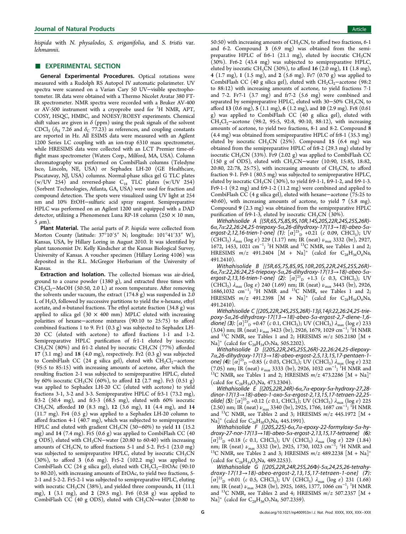hispida with N. physalodes, S. origanifolia, and S. tristis var. lehmannii.

## **EXPERIMENTAL SECTION**

General Experimental Procedures. Optical rotations were measured with a Rudolph RS Autopol IV automatic polarimeter. UV spectra were scanned on a Varian Cary 50 UV−visible spectrophotometer. IR data were obtained with a Thermo Nicolet Avatar 380 FT-IR spectrometer. NMR spectra were recorded with a Bruker AV-400 or AV-500 instrument with a cryoprobe used for <sup>1</sup>H NMR, APT, COSY, HSQC, HMBC, and NOESY/ROESY experiments. Chemical shift values are given in  $\delta$  (ppm) using the peak signals of the solvent CDCl<sub>3</sub> ( $\delta$ <sub>H</sub> 7.26 and  $\delta$ <sub>C</sub> 77.23) as references, and coupling constants are reported in Hz. All ESIMS data were measured with an Agilent 1200 Series LC coupling with an ion-trap 6310 mass spectrometer, while HRESIMS data were collected with an LCT Premier time-offlight mass spectrometer (Waters Corp., Milford, MA, USA). Column chromatography was performed on CombiFlash columns (Teledyne Isco, Lincoln, NE, USA) or Sephadex LH-20 (GE Healthcare, Piscataway, NJ, USA) columns. Normal-phase silica gel G TLC plates  $(w/UV 254)$  and reversed-phase  $C_{18}$  TLC plates  $(w/UV 254)$ (Sorbent Technologies, Atlanta, GA, USA) were used for fraction and compound detection. The spots were visualized using UV light at 254 nm and 10% EtOH−sulfuric acid spray reagent. Semipreparative HPLC was performed on an Agilent 1200 unit equipped with a DAD detector, utilizing a Phenomenex Luna RP-18 column (250 × 10 mm,  $5 \mu m$ ).

Plant Material. The aerial parts of P. hispida were collected from Morton County (latitude: 37°10′5″ N; longitude: 101°41′33″ W), Kansas, USA, by Hillary Loring in August 2010. It was identified by plant taxonomist Dr. Kelly Kindscher at the Kansas Biological Survey, University of Kansas. A voucher specimen (Hillary Loring 4106) was deposited in the R.L. McGregor Herbarium of the University of Kansas.

Extraction and Isolation. The collected biomass was air-dried, ground to a coarse powder (1380 g), and extracted three times with  $CH<sub>2</sub>Cl<sub>2</sub>$ −MeOH (50:50, 2.0 L) at room temperature. After removing the solvents under vacuum, the extract (174.8 g) was suspended in 2.0 L of  $H_2O$ , followed by successive partitions to yield the *n*-hexane, ethyl acetate, and *n*-butanol fractions. The ethyl acetate fraction  $(34.8 \text{ g})$  was applied to silica gel  $(30 \times 400 \text{ mm})$  MPLC eluted with increasing polarities of hexane−acetone mixtures (90:10 to 25:75) to afford combined fractions 1 to 9. Fr1 (0.3 g) was subjected to Sephadex LH-20 CC (eluted with acetone) to afford fractions 1-1 and 1-2. Semipreparative HPLC purification of fr1-1 eluted by isocratic  $CH<sub>3</sub>CN$  (80%) and fr1-2 eluted by isocratic  $CH<sub>3</sub>CN$  (77%) afforded 17 (3.1 mg) and 18 (4.0 mg), respectively. Fr2 (0.3 g) was subjected to CombiFlash CC (24 g silica gel), eluted with CH2Cl2−acetone (95:5 to 85:15) with increasing amounts of acetone, after which the resulting fraction 2-1 was subjected to semipreparative HPLC, eluted by 60% isocratic CH<sub>3</sub>CN (60%), to afford 12 (2.7 mg). Fr3 (0.51 g) was applied to Sephadex LH-20 CC (eluted with acetone) to yield fractions 3-1, 3-2 and 3-3. Semipreparative HPLC of fr3-1 (73.2 mg), fr3-2 (50.4 mg), and fr3-3 (68.5 mg), eluted with 60% isocratic CH<sub>3</sub>CN, afforded 10 (8.3 mg), 12 (3.6 mg), 11 (4.4 mg), and 14 (11.7 mg). Fr4 (0.5 g) was applied to a Sephadex LH-20 column to afford fraction 4-1 (40.7 mg), which was subjected to semipreparative HPLC and eluted with gradient CH<sub>3</sub>CN (30–60%) to yield 11 (15.2 mg) and 14 (7.4 mg). Fr5 (0.6 g) was applied to CombiFlash CC (40 g ODS), eluted with CH<sub>3</sub>CN–water (20:80 to 60:40) with increasing amounts of  $CH<sub>3</sub>CN$ , to afford fractions 5-1 and 5-2. Fr5-1 (23.0 mg) was subjected to semipreparative HPLC, eluted by isocratic  $CH<sub>3</sub>CN$ (30%), to afford 3 (6.6 mg). Fr5-2 (102.2 mg) was applied to CombiFlash CC (24 g silica gel), eluted with CH<sub>2</sub>Cl<sub>2</sub>−EtOAc (90:10 to 80:20), with increasing amounts of EtOAc, to yield two fractions, 5- 2-1 and 5-2-2. Fr5-2-1 was subjected to semipreparative HPLC, eluting with isocratic CH<sub>3</sub>CN (38%), and yielded three compounds, 11 (11.1) mg), 1 (3.1 mg), and 2 (29.5 mg). Fr6 (0.58 g) was applied to CombiFlash CC (40 g ODS), eluted with CH<sub>3</sub>CN–water (20:80 to

50:50) with increasing amounts of  $CH<sub>3</sub>CN$ , to afford two fractions, 6-1 and 6-2. Compound 3 (6.9 mg) was obtained from the semipreparative HPLC of fr6-1 (21.1 mg), eluted by isocratic  $CH<sub>3</sub>CN$ (30%). Fr6-2 (43.4 mg) was subjected to semipreparative HPLC, eluted by isocratic CH<sub>3</sub>CN (30%), to afford 16 (2.0 mg), 11 (1.8 mg), 4 (1.7 mg), 1 (1.5 mg), and 2 (5.6 mg). Fr7 (0.70 g) was applied to CombiFlash CC (40 g silica gel), eluted with CH<sub>2</sub>Cl<sub>2</sub>−acetone (98:2 to 88:12) with increasing amounts of acetone, to yield fractions 7-1 and 7-2. Fr7-1 (3.7 mg) and fr7-2 (5.6 mg) were combined and separated by semipreparative HPLC, eluted with 30–50% CH<sub>3</sub>CN, to afford 13 (0.6 mg), 5 (1.1 mg), 6 (1.2 mg), and 10 (2.9 mg). Fr8 (0.61 g) was applied to CombiFlash CC (40 g silica gel), eluted with CH<sub>2</sub>Cl<sub>2</sub>−acetone (98:2, 95:5, 92:8, 90:10, 88:12), with increasing amounts of acetone, to yield two fractions, 8-1 and 8-2. Compound 8 (4.4 mg) was obtained from semipreparative HPLC of fr8-1 (35.3 mg) eluted by isocratic CH<sub>3</sub>CN (25%). Compound 15 (6.4 mg) was obtained from the semipreparative HPLC of fr8-2 (29.3 mg) eluted by isocratic CH<sub>3</sub>CN (33%). Fr9 (2.02 g) was applied to CombiFlash CC (150 g of ODS), eluted with CH<sub>3</sub>CN–water (10:90, 15:85, 18:82, 20:80, 22:78, 25:75), with increasing amounts of  $CH<sub>3</sub>CN$ , to afford fraction 9-1. Fr9-1 (80.5 mg) was subjected to semipreparative HPLC, eluted by isocratic CH<sub>3</sub>CN (30%), to yield fr9-1-1, fr9-1-2, and fr9-1-3. Fr9-1-1 (9.2 mg) and fr9-1-2 (11.2 mg) were combined and applied to CombiFlash CC (4 g silica gel), eluted with hexane−acetone (75:25 to 40:60), with increasing amounts of acetone, to yield 7 (5.8 mg). Compound 9 (2.3 mg) was obtained from the semipreparative HPLC purification of fr9-1-3, eluted by isocratic CH<sub>3</sub>CN (30%).

Withahisolide A [(5R,6S,7S,8S,9S,10R,14S,20S,22R,24S,25S,26R)- 6α,7α:22,26:24,25-triepoxy-5α,26-dihydroxy-17(13→18)-abeo-5α-<br>ergost-2,12,16-trien-1-one] (**1**): [α]<sup>25</sup><sub>D</sub> +0.21 (c 0.09, CHCl<sub>3</sub>); UV (CHCl<sub>3</sub>)  $λ_{\text{max}}$  (log  $ε$ ) 229 (1.17) nm; IR (neat)  $ν_{\text{max}}$  3332 (br), 2927, 1672, 1453, 1021 cm<sup>-1</sup>; <sup>1</sup>H NMR and <sup>13</sup>C NMR, see Tables 1 and 2; HRESIMS  $m/z$  491.2404 [M + [Na](#page-2-0)]<sup>+</sup> (calcd for C<sub>28</sub>H<sub>36</sub>O<sub>6</sub>Na, 491.2410).

Withahisolide B [(5R,6S,7S,8S,9S,10R,20S,22R,24S,25S,26R)- 6α,7α:22,26:24,25-triepoxy-5α,26-dihydroxy-17(13→18)-abeo-5α-<br>ergost-2,13,16-trien-1-one] (**2**): [α]<sup>25</sup><sub>D</sub> +1.3 (c 0.3, CHCl<sub>3</sub>); UV (CHCl<sub>3</sub>)  $\lambda_{\text{max}}$  (log  $\varepsilon$ ) 240 (1.69) nm; IR (neat)  $\nu_{\text{max}}$  3443 (br), 2926, 1686,1032 cm<sup>-1</sup>; <sup>1</sup>H NMR and <sup>13</sup>C NMR, see Tables 1 and 2; [H](#page-1-0)RESIMS  $m/z$  491.2398 [M + [Na](#page-2-0)]<sup>+</sup> (calcd for C<sub>28</sub>H<sub>36</sub>O<sub>6</sub>Na, 491.2410).

Withahisolide C [(20S,22R,24S,25S,26R)-13β,14β:22,26:24,25-trie $p$ oxy-5 $\alpha$ ,26-dihydroxy-17(13 $\rightarrow$ 18)-abeo-5 $\alpha$ -ergost-2,7-diene-1,6dione] (3):  $[\alpha]^{25}$ <sub>D</sub> +0.47 (c 0.1, CHCl<sub>3</sub>); UV (CHCl<sub>3</sub>)  $\lambda_{\max}$  (log  $\varepsilon$ ) 233  $(3.04)$  nm; IR (neat)  $\nu_{\text{max}}$  3423 (br), 2926, 1679, 1029 cm<sup>-1</sup>; <sup>1</sup>H NMR and <sup>13</sup>C NMR, see Tables 1 and 2; HRESIMS  $m/z$  505.2180 [M + [Na](#page-1-0)]<sup>+</sup> (calcd for  $C_{28}H_{34}O_7N_a$ , 505.[22](#page-2-0)02).

Withahisolide D [(20S,22R,24S,25S,26R)-22,26:24,25-diepoxy-7α,26-dihydroxy-17(13→18)-abeo-ergost-2,5,13,15,17-pentaen-1-<br>one] (**4**): [α]<sup>25</sup><sub>D</sub> −0.85 (c 0.03, CHCl<sub>3</sub>); UV (CHCl<sub>3</sub>) λ<sub>max</sub> (log ε) 232 (7.05) nm; IR (neat)  $\nu_{\text{max}}$  3333 (br), 2926, 1032 cm<sup>-1</sup>; <sup>1</sup>H NMR and <sup>13</sup>C NMR, see Tables 1 and 2; HRESIMS  $m/z$  473.2286 [M + Na]<sup>+</sup> (calcd for  $C_{28}H_{34}O_5Na$ , 473.[23](#page-2-0)04).

Withahisolide E [(20S,22R,24R)-6α,7α-epoxy-5α-hydroxy-27,28 dinor-17(13→18)-abeo-1-oxo-5 $\alpha$ -ergost-2,13,15,17-tetraen-22,25olide] (5):  $[\alpha]^{25}$ <sub>D</sub> +0.12 (c 0.1, CHCl<sub>3</sub>); UV (CHCl<sub>3</sub>)  $\lambda_{\rm max}$  (log  $\varepsilon$ ) 225  $(2.50)$  nm; IR (neat)  $\nu_{\text{max}}$  3340 (br), 2925, 1766, 1687 cm<sup>-1</sup>; <sup>1</sup>H NMR and <sup>13</sup>C NMR, see Tables 2 and 3; HRESIMS  $m/z$  445.1972 [M + [Na](#page-2-0)]<sup>+</sup> (calcd for  $C_{26}H_{30}O_5$ Na, 445.[19](#page-4-0)91).

Withahisolide F  $[(20S, 22S) - 6\alpha, 7\alpha$ -epoxy-22-formyloxy-5 $\alpha$ -hydroxy-27-nor-17(13 $\rightarrow$ 18)-abeo-5 $\alpha$ -ergost-2,13,15,17-tetraene] (6):  $[\alpha]_{\text{D}}^{25}$  +0.18 (c 0.1, CHCl<sub>3</sub>); UV (CHCl<sub>3</sub>)  $\lambda_{\text{max}}$  (log  $\varepsilon$ ) 229 (1.84) nm; IR (neat)  $\nu_{\text{max}}$  3332 (br), 2925, 1730, 1023 cm<sup>-1</sup>; <sup>1</sup>H NMR and <sup>13</sup>C NMR, see Tables 2 and 3; HRESIMS *m/z* 489.2238 [M + Na]<sup>+</sup> (calcd for  $C_{28}H_{34}O_6N$ [a,](#page-2-0) 489.[22](#page-4-0)53).

Withahisolide G [(20S,22R,24R,25S,26Φ)-5α,24,25,26-tetrahydroxy-17(13→18)-abeo-ergost-2,13,15,17-tetraen-1-one] (7):  $[\alpha]^{25}$ <sub>D</sub> +0.01 (c 0.5, CHCl<sub>3</sub>); UV (CHCl<sub>3</sub>)  $\lambda_{\text{max}}$  (log  $\varepsilon$ ) 231 (1.68) nm; IR (neat)  $\nu_{\text{max}}$  3428 (br), 2925, 1685, 1377, 1066 cm<sup>-1</sup>; <sup>1</sup>H NMR and <sup>13</sup>C NMR, see Tables 2 and 4; HRESIMS  $m/z$  507.2357 [M + [Na](#page-2-0)]<sup>+</sup> (calcd for  $C_{28}H_{36}O_7N_a$ , 507.[23](#page-7-0)59).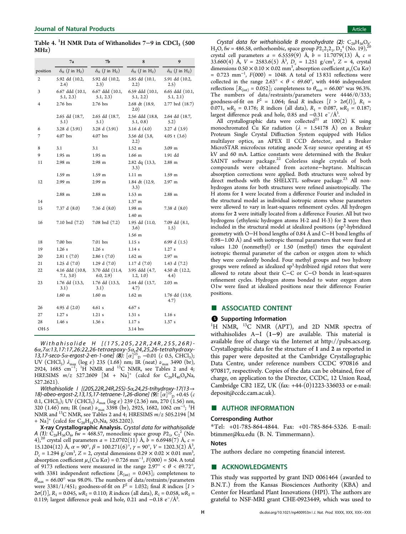<span id="page-7-0"></span>Table 4.  $\rm ^1H$  NMR Data of Withanolides 7–9 in CDCl<sub>3</sub> (500 MHz)

|          | 7a                                              | 7Ь                                              | 8                                               | 9                                               |
|----------|-------------------------------------------------|-------------------------------------------------|-------------------------------------------------|-------------------------------------------------|
| position | $\delta_{\rm H}$ ( <i>J</i> in H <sub>z</sub> ) | $\delta_{\rm H}$ ( <i>J</i> in H <sub>z</sub> ) | $\delta_{\rm H}$ ( <i>J</i> in H <sub>z</sub> ) | $\delta_{\rm H}$ ( <i>J</i> in H <sub>z</sub> ) |
| 2        | 5.92 dd (10.2,<br>(2.4)                         | 5.92 dd (10.2,<br>2.3)                          | 5.85 dd (10.1,<br>2.2)                          | 5.91 dd (10.2,<br>2.5)                          |
| 3        | 6.67 ddd (10.1,<br>5.1, 2.3)                    | 6.67 ddd (10.1,<br>5.1, 2.3)                    | 6.59 ddd (10.1,<br>5.1, 2.2)                    | 6.65 ddd (10.1,<br>5.1, 2.1)                    |
| 4        | 2.76 brs                                        | $2.76$ brs                                      | 2.68 dt (18.9,<br>2.0)                          | 2.77 brd (18.7)                                 |
|          | 2.65 dd (18.7,<br>5.1)                          | 2.65 dd (18.7,<br>5.1)                          | 2.56 ddd (18.8,<br>5.1, 0.8)                    | 2.64 dd (18.7,<br>5.2)                          |
| 6        | 3.28 d (3.91)                                   | 3.28 d (3.91)                                   | 3.16 d (4.0)                                    | 3.27 d(3.9)                                     |
| 7        | 4.07 brs                                        | 4.07 brs                                        | 3.56 dd (3.8,<br>2.2)                           | $4.05 \t (3.6)$                                 |
| 8        | 3.1                                             | 3.1                                             | $1.52 \text{ m}$                                | 3.09 m                                          |
| 9        | 1.95 m                                          | 1.95 m                                          | $1.66$ m                                        | 1.91 dd                                         |
| 11       | $2.98$ m                                        | $2.98$ m                                        | 2.82 dq (13.3,<br>3.3)                          | $2.88$ m                                        |
|          | $1.59$ m                                        | 1.59 m                                          | $1.11 \text{ m}$                                | 1.59 m                                          |
| 12       | 2.99 m                                          | 2.99 m                                          | 1.84 dt (12.9,<br>3.3)                          | $2.97 \text{ m}$                                |
|          | $2.88$ m                                        | $2.88$ m                                        | $1.53 \; m$                                     | $2.88$ m                                        |
| 14       |                                                 |                                                 | 1.37 m                                          |                                                 |
| 15       | 7.37 d(8.0)                                     | 7.36 d (8.0)                                    | $1.98$ m                                        | 7.38 d (8.0)                                    |
|          |                                                 |                                                 | 1.40 <sub>m</sub>                               |                                                 |
| 16       | 7.10 brd (7.2)                                  | 7.08 brd (7.2)                                  | 1.95 dd (11.0,<br>3.6)                          | 7.09 dd (8.1,<br>1.5)                           |
|          |                                                 |                                                 | 1.56 m                                          |                                                 |
| 18       | 7.00 brs                                        | $7.01$ brs                                      | 1.15s                                           | 6.99 d $(1.5)$                                  |
| 19       | 1.26s                                           | 1.26s                                           | 1.14s                                           | 1.27 s                                          |
| 20       | $2.81$ t $(7.0)$                                | $2.86 \t(7.0)$                                  | $1.62 \text{ m}$                                | $2.97$ m                                        |
| 21       | 1.25 d $(7.0)$                                  | 1.29 d $(7.0)$                                  | 1.17 d(7.0)                                     | 1.43 d $(7.2)$                                  |
| 22       | 4.16 ddd (10.8,<br>7.1, 3.0)                    | 3.70 ddd (11.4,<br>6.0, 2.9)                    | 3.95 ddd (4.7,<br>1.2, 1.0)                     | 4.50 dt (12.2,<br>4.4)                          |
| 23       | 1.76 dd (13.3,<br>3.1)                          | 1.76 dd (13.3,<br>3.1)                          | 2.44 dd (13.7,<br>4.7)                          | $2.03 \; m$                                     |
|          | $1.60$ m                                        | $1.60$ m                                        | $1.62 \text{ m}$                                | 1.76 dd (13.9,<br>4.7)                          |
| 26       | 4.95 d $(2.0)$                                  | 4.61 s                                          | 4.67 s                                          |                                                 |
| 27       | 1.27s                                           | $1.21$ s                                        | 1.31 s                                          | 1.16 s                                          |
| 28       | 1.46s                                           | 1.36s                                           | 1.17s                                           | 1.37 s                                          |
| OH-5     |                                                 |                                                 | 3.14 brs                                        |                                                 |

Withahisolide H [(17S,20S,22R,24R,25S,26R)- 6α,7α:13,17:17,26:22,26-tetraepoxy-5α,24,25,26-tetrahydroxy-13,17-seco-5α-ergost-2-en-1-one] (8):  $[\alpha]^{25}$   $\mu$  -0.01 (c 0.5, CHCl<sub>3</sub>); UV (CHCl<sub>3</sub>)  $\lambda_{\text{max}}$  (log  $\varepsilon$ ) 235 (1.68) nm; IR (neat)  $\nu_{\text{max}}$  3490 (br), 2924, 1685 cm<sup>-1</sup>; <sup>1</sup>H NMR and <sup>13</sup>C NMR, see Tables 2 and 4; [H](#page-2-0)RESIMS  $m/z$  527.2609 [M + Na]<sup>+</sup> (calcd for C<sub>28</sub>H<sub>40</sub>O<sub>8</sub>Na,

527.2621).<br>Withahisolide 1 [(205,22R,24R,25S)-5α,24,25-trihydroxy-17(13→ Withahisolide I [(20S,22R,24R,25S)-5α,24,25-trihydroxy-17(13  $\rightarrow$  18)-abeo-ergost-2,13,15,17-tetraene-1,26-dione] (9): [α]<sup>25</sup><sub>D</sub> +0.45 (c 0.1, CHCl<sub>3</sub>); UV (CHCl<sub>3</sub>)  $\lambda_{\text{max}}$  (log  $\varepsilon$ ) 239 (2.36) nm, 270 (1.56) nm, 320 (1.46) nm; IR (neat)  $\nu_{\text{max}}$  3398 (br), 2925, 1682, 1062 cm<sup>-1</sup>; <sup>1</sup>H NMR and <sup>13</sup>C NMR, see Tables 2 and 4; HRESIMS  $m/z$  505.2194 [M + Na]<sup>+</sup> (calcd for  $C_{28}H_{34}O_7N_a$ , [5](#page-2-0)05.2202).

X-ray Crystallographic Analysis. Crystal data for withahisolide A (1):  $C_{28}H_{36}O_6$ , fw = 468.57, monoclinic space group  $P2_1$ ,  $C_2^2$  (No. 4),<sup>20</sup> crystal cell parameters  $a = 12.0702(11)$  Å,  $b = 6.6948(7)$  Å,  $c =$ 15.1204(12) Å,  $\alpha = 90^{\circ}$ ,  $\beta = 100.271(6)^{\circ}$ ,  $\gamma = 90^{\circ}$ ,  $V = 1202.3(2)$  Å<sup>3</sup>, ,  $D_c = 1.294$  g/cm<sup>3</sup>, Z = 2, crystal dimensions  $0.29 \times 0.02 \times 0.01$  mm<sup>3</sup> , absorption coefficient  $\mu$ <sub>a</sub>(Cu K $\alpha$ ) = 0.726 mm<sup>-1</sup>,  $F(000)$  = 504. A total of 9173 reflections were measured in the range  $2.97^{\circ} < \theta < 69.72^{\circ}$ , with 3381 independent reflections  $[R<sub>(int)</sub> = 0.043]$ ; completeness to  $\theta_{\text{max}} = 66.00^{\circ}$  was 98.0%. The numbers of data/restraints/parameters were 3381/1/451; goodness-of-fit on  $F^2 = 1.032$ ; final R indices [I >  $2\sigma(I)$ ],  $R_1 = 0.045$ ,  $wR_2 = 0.110$ ; R indices (all data),  $R_1 = 0.058$ ,  $wR_2 =$ 0.119; largest difference peak and hole, 0.21 and  $-0.18 \text{ e}^{-}/\text{\AA}^{3}$ . .

Crystal data for withahisolide B monohydrate (2):  $C_{28}H_{36}O_6$ H<sub>2</sub>O, fw = 486.58, orthorhombic, space group  $P2_12_12_1$ , D<sub>2</sub><sup>4</sup> (No. 19),<sup>20</sup> crystal cell parameters  $a = 6.5559(9)$  $a = 6.5559(9)$  $a = 6.5559(9)$  Å,  $b = 11.7079(13)$  Å,  $c =$ 33.660(4) Å,  $V = 2583.6(5)$  Å<sup>3</sup>,  $D_c = 1.251$  g/cm<sup>3</sup>, Z = 4, crystal dimensions  $0.50 \times 0.10 \times 0.02$  mm<sup>3</sup>, absorption coefficient  $\mu_{\rm a}$  (Cu Ka)  $= 0.723$  mm<sup>-1</sup>,  $F(000) = 1048$ . A total of 13 831 reflections were collected in the range  $2.63^{\circ} < \theta < 69.60^{\circ}$ , with 4446 independent reflections  $[R_{\text{(int)}} = 0.052]$ ; completeness to  $\theta_{\text{max}} = 66.00^{\circ}$  was 96.3%. The numbers of data/restraints/parameters were 4446/0/333; goodness-of-fit on  $F^2 = 1.064$ ; final R indices  $[I > 2\sigma(I)]$ ,  $R_1 =$ 0.071,  $wR_2 = 0.176$ ; R indices (all data),  $R_1 = 0.087$ ,  $wR_2 = 0.187$ ; largest difference peak and hole, 0.85 and −0.31 e<sup>−</sup>/Å<sup>3</sup>. .

All crystallographic data were collected $^{21}$  at  $100(2)$  K using monochromated Cu Ka radiation ( $\lambda$  = 1.[54](#page-8-0)178 Å) on a Bruker Proteum Single Crystal Diffraction System equipped with Helios multilayer optics, an APEX II CCD detector, and a Bruker MicroSTAR microfocus rotating anode X-ray source operating at 45 kV and 60 mA. Lattice constants were determined with the Bruker SAINT software package.<sup>22</sup> Colorless single crystals of both compounds were obtaine[d](#page-8-0) from acetone−heptane. Multiscan absorption corrections were applied. Both structures were solved by direct methods with the SHELXTL software package.<sup>23</sup> All nonhydrogen atoms for both structures were refined anisotr[opi](#page-8-0)cally. The H atoms for 1 were located from a difference Fourier and included in the structural model as individual isotropic atoms whose parameters were allowed to vary in least-squares refinement cycles. All hydrogen atoms for 2 were initially located from a difference Fourier. All but two hydrogens (ethylenic hydrogen atoms H-2 and H-3) for 2 were then included in the structural model at idealized positions (sp<sup>3</sup>-hybridized geometry with O−H bond lengths of 0.84 Å and C−H bond lengths of 0.98−1.00 Å) and with isotropic thermal parameters that were fixed at values 1.20 (nonmethyl) or 1.50 (methyl) times the equivalent isotropic thermal parameter of the carbon or oxygen atom to which they were covalently bonded. Four methyl groups and two hydroxy groups were refined as idealized sp<sup>3</sup>-hydribized rigid rotors that were allowed to rotate about their C−C or C−O bonds in least-squares refinement cycles. Hydrogen atoms bonded to water oxygen atom O1w were fixed at idealized positions near their difference Fourier positions.

#### ■ ASSOCIATED CONTENT

#### **6** Supporting Information

<sup>1</sup>H NMR, <sup>13</sup>C NMR (APT), and 2D NMR spectra of withahisolides A−I (1−9) are available. This material is available free of charge via the Internet at http://pubs.acs.org. Crystallographic data for the structure of 1 and 2 [as reported in](http://pubs.acs.org) this paper were deposited at the Cambridge Crystallographic Data Centre, under reference numbers CCDC 970816 and 970817, respectively. Copies of the data can be obtained, free of charge, on application to the Director, CCDC, 12 Union Road, Cambridge CB2 1EZ, UK (fax: +44-(0)1223-336033 or e-mail: [deposit@ccdc.cam.ac.uk\)](mailto:deposit@ccdc.cam.ac.uk).

# ■ AUTHOR INFORMATION

#### Corresponding Author

\*Tel: +01-785-864-4844. Fax: +01-785-864-5326. E-mail: btimmer@ku.edu (B. N. Timmermann).

#### [Notes](mailto:btimmer@ku.edu)

The authors declare no competing financial interest.

## ■ ACKNOWLEDGMENTS

This study was supported by grant IND 0061464 (awarded to B.N.T.) from the Kansas Biosciences Authority (KBA) and Center for Heartland Plant Innovations (HPI). The authors are grateful to NSF-MRI grant CHE-0923449, which was used to